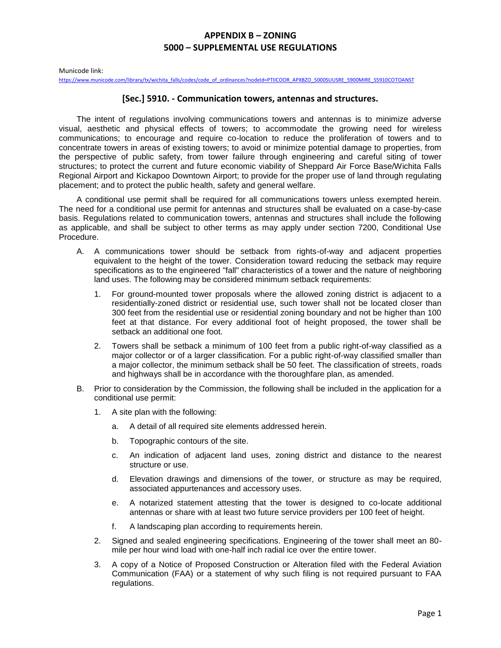Municode link:

[https://www.municode.com/library/tx/wichita\\_falls/codes/code\\_of\\_ordinances?nodeId=PTIICOOR\\_APXBZO\\_5000SUUSRE\\_5900MIRE\\_S5910COTOANST](https://www.municode.com/library/tx/wichita_falls/codes/code_of_ordinances?nodeId=PTIICOOR_APXBZO_5000SUUSRE_5900MIRE_S5910COTOANST)

#### **[Sec.] 5910. - Communication towers, antennas and structures.**

The intent of regulations involving communications towers and antennas is to minimize adverse visual, aesthetic and physical effects of towers; to accommodate the growing need for wireless communications; to encourage and require co-location to reduce the proliferation of towers and to concentrate towers in areas of existing towers; to avoid or minimize potential damage to properties, from the perspective of public safety, from tower failure through engineering and careful siting of tower structures; to protect the current and future economic viability of Sheppard Air Force Base/Wichita Falls Regional Airport and Kickapoo Downtown Airport; to provide for the proper use of land through regulating placement; and to protect the public health, safety and general welfare.

A conditional use permit shall be required for all communications towers unless exempted herein. The need for a conditional use permit for antennas and structures shall be evaluated on a case-by-case basis. Regulations related to communication towers, antennas and structures shall include the following as applicable, and shall be subject to other terms as may apply under section 7200, Conditional Use Procedure.

- A. A communications tower should be setback from rights-of-way and adjacent properties equivalent to the height of the tower. Consideration toward reducing the setback may require specifications as to the engineered "fall" characteristics of a tower and the nature of neighboring land uses. The following may be considered minimum setback requirements:
	- 1. For ground-mounted tower proposals where the allowed zoning district is adjacent to a residentially-zoned district or residential use, such tower shall not be located closer than 300 feet from the residential use or residential zoning boundary and not be higher than 100 feet at that distance. For every additional foot of height proposed, the tower shall be setback an additional one foot.
	- 2. Towers shall be setback a minimum of 100 feet from a public right-of-way classified as a major collector or of a larger classification. For a public right-of-way classified smaller than a major collector, the minimum setback shall be 50 feet. The classification of streets, roads and highways shall be in accordance with the thoroughfare plan, as amended.
- B. Prior to consideration by the Commission, the following shall be included in the application for a conditional use permit:
	- 1. A site plan with the following:
		- a. A detail of all required site elements addressed herein.
		- b. Topographic contours of the site.
		- c. An indication of adjacent land uses, zoning district and distance to the nearest structure or use.
		- d. Elevation drawings and dimensions of the tower, or structure as may be required, associated appurtenances and accessory uses.
		- e. A notarized statement attesting that the tower is designed to co-locate additional antennas or share with at least two future service providers per 100 feet of height.
		- f. A landscaping plan according to requirements herein.
	- 2. Signed and sealed engineering specifications. Engineering of the tower shall meet an 80 mile per hour wind load with one-half inch radial ice over the entire tower.
	- 3. A copy of a Notice of Proposed Construction or Alteration filed with the Federal Aviation Communication (FAA) or a statement of why such filing is not required pursuant to FAA regulations.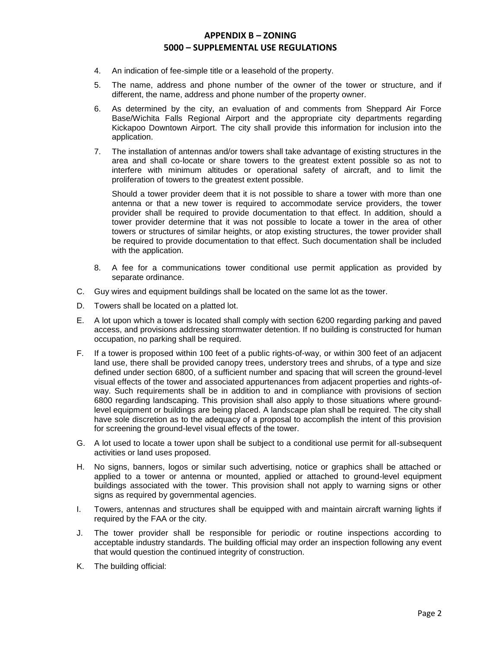- 4. An indication of fee-simple title or a leasehold of the property.
- 5. The name, address and phone number of the owner of the tower or structure, and if different, the name, address and phone number of the property owner.
- 6. As determined by the city, an evaluation of and comments from Sheppard Air Force Base/Wichita Falls Regional Airport and the appropriate city departments regarding Kickapoo Downtown Airport. The city shall provide this information for inclusion into the application.
- 7. The installation of antennas and/or towers shall take advantage of existing structures in the area and shall co-locate or share towers to the greatest extent possible so as not to interfere with minimum altitudes or operational safety of aircraft, and to limit the proliferation of towers to the greatest extent possible.

Should a tower provider deem that it is not possible to share a tower with more than one antenna or that a new tower is required to accommodate service providers, the tower provider shall be required to provide documentation to that effect. In addition, should a tower provider determine that it was not possible to locate a tower in the area of other towers or structures of similar heights, or atop existing structures, the tower provider shall be required to provide documentation to that effect. Such documentation shall be included with the application.

- 8. A fee for a communications tower conditional use permit application as provided by separate ordinance.
- C. Guy wires and equipment buildings shall be located on the same lot as the tower.
- D. Towers shall be located on a platted lot.
- E. A lot upon which a tower is located shall comply with section 6200 regarding parking and paved access, and provisions addressing stormwater detention. If no building is constructed for human occupation, no parking shall be required.
- F. If a tower is proposed within 100 feet of a public rights-of-way, or within 300 feet of an adjacent land use, there shall be provided canopy trees, understory trees and shrubs, of a type and size defined under section 6800, of a sufficient number and spacing that will screen the ground-level visual effects of the tower and associated appurtenances from adjacent properties and rights-ofway. Such requirements shall be in addition to and in compliance with provisions of section 6800 regarding landscaping. This provision shall also apply to those situations where groundlevel equipment or buildings are being placed. A landscape plan shall be required. The city shall have sole discretion as to the adequacy of a proposal to accomplish the intent of this provision for screening the ground-level visual effects of the tower.
- G. A lot used to locate a tower upon shall be subject to a conditional use permit for all-subsequent activities or land uses proposed.
- H. No signs, banners, logos or similar such advertising, notice or graphics shall be attached or applied to a tower or antenna or mounted, applied or attached to ground-level equipment buildings associated with the tower. This provision shall not apply to warning signs or other signs as required by governmental agencies.
- I. Towers, antennas and structures shall be equipped with and maintain aircraft warning lights if required by the FAA or the city.
- J. The tower provider shall be responsible for periodic or routine inspections according to acceptable industry standards. The building official may order an inspection following any event that would question the continued integrity of construction.
- K. The building official: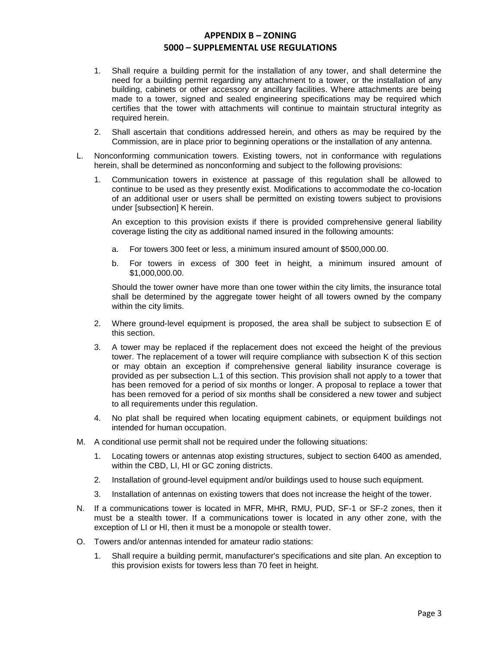- 1. Shall require a building permit for the installation of any tower, and shall determine the need for a building permit regarding any attachment to a tower, or the installation of any building, cabinets or other accessory or ancillary facilities. Where attachments are being made to a tower, signed and sealed engineering specifications may be required which certifies that the tower with attachments will continue to maintain structural integrity as required herein.
- 2. Shall ascertain that conditions addressed herein, and others as may be required by the Commission, are in place prior to beginning operations or the installation of any antenna.
- L. Nonconforming communication towers. Existing towers, not in conformance with regulations herein, shall be determined as nonconforming and subject to the following provisions:
	- 1. Communication towers in existence at passage of this regulation shall be allowed to continue to be used as they presently exist. Modifications to accommodate the co-location of an additional user or users shall be permitted on existing towers subject to provisions under [subsection] K herein.

An exception to this provision exists if there is provided comprehensive general liability coverage listing the city as additional named insured in the following amounts:

- a. For towers 300 feet or less, a minimum insured amount of \$500,000.00.
- b. For towers in excess of 300 feet in height, a minimum insured amount of \$1,000,000.00.

Should the tower owner have more than one tower within the city limits, the insurance total shall be determined by the aggregate tower height of all towers owned by the company within the city limits.

- 2. Where ground-level equipment is proposed, the area shall be subject to subsection E of this section.
- 3. A tower may be replaced if the replacement does not exceed the height of the previous tower. The replacement of a tower will require compliance with subsection K of this section or may obtain an exception if comprehensive general liability insurance coverage is provided as per subsection L.1 of this section. This provision shall not apply to a tower that has been removed for a period of six months or longer. A proposal to replace a tower that has been removed for a period of six months shall be considered a new tower and subject to all requirements under this regulation.
- 4. No plat shall be required when locating equipment cabinets, or equipment buildings not intended for human occupation.
- M. A conditional use permit shall not be required under the following situations:
	- 1. Locating towers or antennas atop existing structures, subject to section 6400 as amended, within the CBD, LI, HI or GC zoning districts.
	- 2. Installation of ground-level equipment and/or buildings used to house such equipment.
	- 3. Installation of antennas on existing towers that does not increase the height of the tower.
- N. If a communications tower is located in MFR, MHR, RMU, PUD, SF-1 or SF-2 zones, then it must be a stealth tower. If a communications tower is located in any other zone, with the exception of LI or HI, then it must be a monopole or stealth tower.
- O. Towers and/or antennas intended for amateur radio stations:
	- 1. Shall require a building permit, manufacturer's specifications and site plan. An exception to this provision exists for towers less than 70 feet in height.